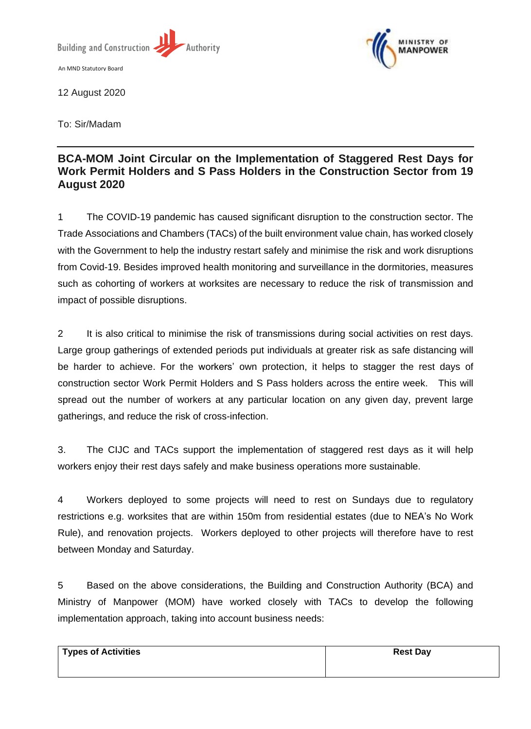

12 August 2020

To: Sir/Madam

## **BCA-MOM Joint Circular on the Implementation of Staggered Rest Days for Work Permit Holders and S Pass Holders in the Construction Sector from 19 August 2020**

1 The COVID-19 pandemic has caused significant disruption to the construction sector. The Trade Associations and Chambers (TACs) of the built environment value chain, has worked closely with the Government to help the industry restart safely and minimise the risk and work disruptions from Covid-19. Besides improved health monitoring and surveillance in the dormitories, measures such as cohorting of workers at worksites are necessary to reduce the risk of transmission and impact of possible disruptions.

2 It is also critical to minimise the risk of transmissions during social activities on rest days. Large group gatherings of extended periods put individuals at greater risk as safe distancing will be harder to achieve. For the workers' own protection, it helps to stagger the rest days of construction sector Work Permit Holders and S Pass holders across the entire week. This will spread out the number of workers at any particular location on any given day, prevent large gatherings, and reduce the risk of cross-infection.

3. The CIJC and TACs support the implementation of staggered rest days as it will help workers enjoy their rest days safely and make business operations more sustainable.

4 Workers deployed to some projects will need to rest on Sundays due to regulatory restrictions e.g. worksites that are within 150m from residential estates (due to NEA's No Work Rule), and renovation projects. Workers deployed to other projects will therefore have to rest between Monday and Saturday.

5 Based on the above considerations, the Building and Construction Authority (BCA) and Ministry of Manpower (MOM) have worked closely with TACs to develop the following implementation approach, taking into account business needs:

| <b>Types of Activities</b> | <b>Rest Day</b> |
|----------------------------|-----------------|
|                            |                 |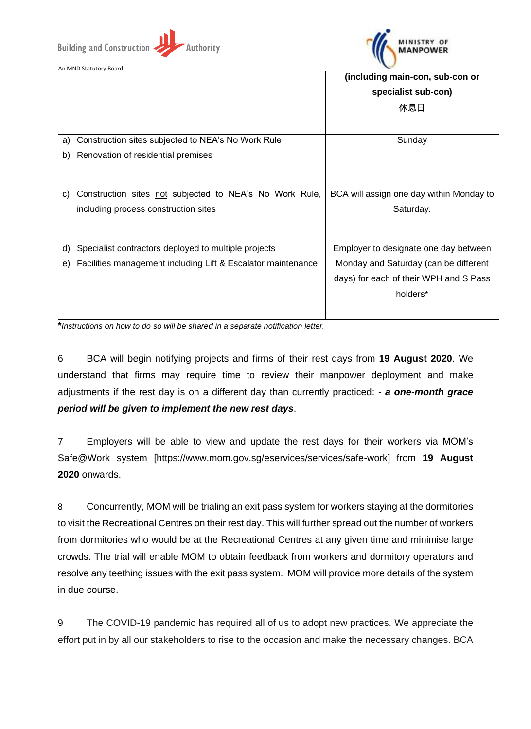**Building and Construction** 



An MND Statutory Board

|    |                                                              | (including main-con, sub-con or          |
|----|--------------------------------------------------------------|------------------------------------------|
|    |                                                              | specialist sub-con)                      |
|    |                                                              | 休息日                                      |
|    |                                                              |                                          |
| a) | Construction sites subjected to NEA's No Work Rule           | Sunday                                   |
| b) | Renovation of residential premises                           |                                          |
|    |                                                              |                                          |
|    |                                                              |                                          |
| C) | Construction sites not subjected to NEA's No Work Rule,      | BCA will assign one day within Monday to |
|    | including process construction sites                         | Saturday.                                |
|    |                                                              |                                          |
|    |                                                              |                                          |
| d) | Specialist contractors deployed to multiple projects         | Employer to designate one day between    |
| e) | Facilities management including Lift & Escalator maintenance | Monday and Saturday (can be different    |
|    |                                                              | days) for each of their WPH and S Pass   |
|    |                                                              | holders*                                 |
|    |                                                              |                                          |

**\****Instructions on how to do so will be shared in a separate notification letter.*

**Authority** 

6 BCA will begin notifying projects and firms of their rest days from **19 August 2020**. We understand that firms may require time to review their manpower deployment and make adjustments if the rest day is on a different day than currently practiced: - *a one-month grace period will be given to implement the new rest days*.

7 Employers will be able to view and update the rest days for their workers via MOM's Safe@Work system [\[https://www.mom.gov.sg/eservices/services/safe-work\]](https://www.mom.gov.sg/eservices/services/safe-work) from **19 August 2020** onwards.

8 Concurrently, MOM will be trialing an exit pass system for workers staying at the dormitories to visit the Recreational Centres on their rest day. This will further spread out the number of workers from dormitories who would be at the Recreational Centres at any given time and minimise large crowds. The trial will enable MOM to obtain feedback from workers and dormitory operators and resolve any teething issues with the exit pass system. MOM will provide more details of the system in due course.

9 The COVID-19 pandemic has required all of us to adopt new practices. We appreciate the effort put in by all our stakeholders to rise to the occasion and make the necessary changes. BCA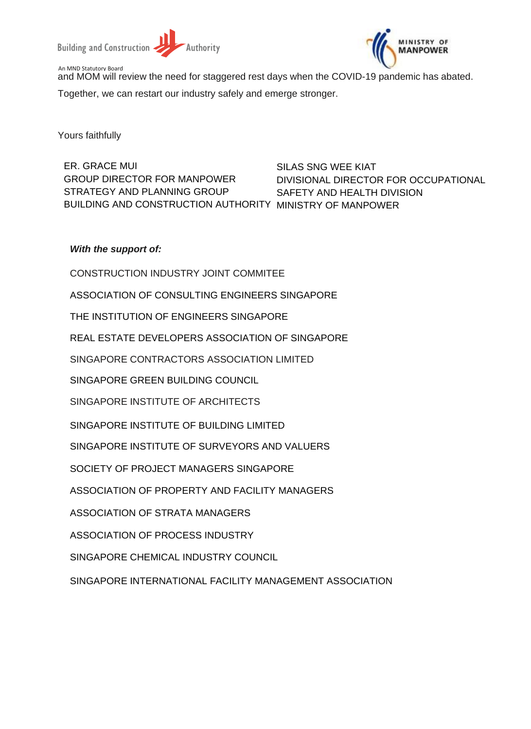



An MND Statutory Board and MOM will review the need for staggered rest days when the COVID-19 pandemic has abated. Together, we can restart our industry safely and emerge stronger.

Yours faithfully

ER. GRACE MUI GROUP DIRECTOR FOR MANPOWER STRATEGY AND PLANNING GROUP BUILDING AND CONSTRUCTION AUTHORITY MINISTRY OF MANPOWER

SILAS SNG WEE KIAT DIVISIONAL DIRECTOR FOR OCCUPATIONAL SAFETY AND HEALTH DIVISION

## *With the support of:*

CONSTRUCTION INDUSTRY JOINT COMMITEE ASSOCIATION OF CONSULTING ENGINEERS SINGAPORE THE INSTITUTION OF ENGINEERS SINGAPORE REAL ESTATE DEVELOPERS ASSOCIATION OF SINGAPORE SINGAPORE CONTRACTORS ASSOCIATION LIMITED SINGAPORE GREEN BUILDING COUNCIL SINGAPORE INSTITUTE OF ARCHITECTS SINGAPORE INSTITUTE OF BUILDING LIMITED SINGAPORE INSTITUTE OF SURVEYORS AND VALUERS SOCIETY OF PROJECT MANAGERS SINGAPORE ASSOCIATION OF PROPERTY AND FACILITY MANAGERS ASSOCIATION OF STRATA MANAGERS ASSOCIATION OF PROCESS INDUSTRY SINGAPORE CHEMICAL INDUSTRY COUNCIL

SINGAPORE INTERNATIONAL FACILITY MANAGEMENT ASSOCIATION